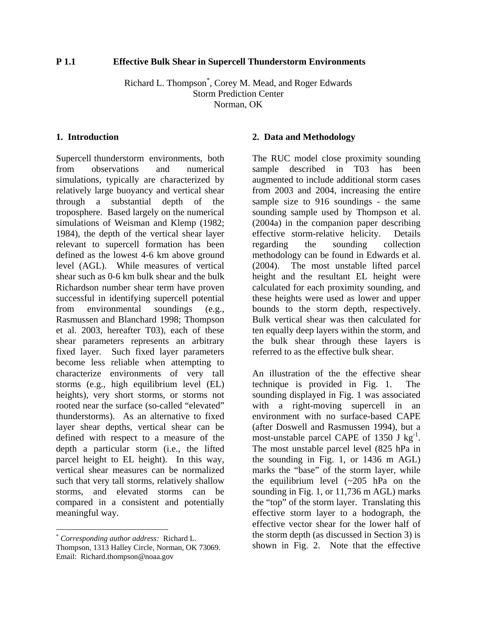# **P 1.1 Effective Bulk Shear in Supercell Thunderstorm Environments**

Richard L. Thompson\* , Corey M. Mead, and Roger Edwards Storm Prediction Center Norman, OK

# **1. Introduction**

Supercell thunderstorm environments, both from observations and numerical simulations, typically are characterized by relatively large buoyancy and vertical shear through a substantial depth of the troposphere. Based largely on the numerical simulations of Weisman and Klemp (1982; 1984), the depth of the vertical shear layer relevant to supercell formation has been defined as the lowest 4-6 km above ground level (AGL). While measures of vertical shear such as 0-6 km bulk shear and the bulk Richardson number shear term have proven successful in identifying supercell potential from environmental soundings (e.g., Rasmussen and Blanchard 1998; Thompson et al. 2003, hereafter T03), each of these shear parameters represents an arbitrary fixed layer. Such fixed layer parameters become less reliable when attempting to characterize environments of very tall storms (e.g., high equilibrium level (EL) heights), very short storms, or storms not rooted near the surface (so-called "elevated" thunderstorms). As an alternative to fixed layer shear depths, vertical shear can be defined with respect to a measure of the depth a particular storm (i.e., the lifted parcel height to EL height). In this way, vertical shear measures can be normalized such that very tall storms, relatively shallow storms, and elevated storms can be compared in a consistent and potentially meaningful way.

1

#### **2. Data and Methodology**

The RUC model close proximity sounding sample described in T03 has been augmented to include additional storm cases from 2003 and 2004, increasing the entire sample size to 916 soundings - the same sounding sample used by Thompson et al. (2004a) in the companion paper describing effective storm-relative helicity. Details regarding the sounding collection methodology can be found in Edwards et al. (2004). The most unstable lifted parcel height and the resultant EL height were calculated for each proximity sounding, and these heights were used as lower and upper bounds to the storm depth, respectively. Bulk vertical shear was then calculated for ten equally deep layers within the storm, and the bulk shear through these layers is referred to as the effective bulk shear.

An illustration of the the effective shear technique is provided in Fig. 1. The sounding displayed in Fig. 1 was associated with a right-moving supercell in an environment with no surface-based CAPE (after Doswell and Rasmussen 1994), but a most-unstable parcel CAPE of 1350 J  $kg^{-1}$ . The most unstable parcel level (825 hPa in the sounding in Fig. 1, or 1436 m AGL) marks the "base" of the storm layer, while the equilibrium level  $({\sim}205$  hPa on the sounding in Fig. 1, or 11,736 m AGL) marks the "top" of the storm layer. Translating this effective storm layer to a hodograph, the effective vector shear for the lower half of the storm depth (as discussed in Section 3) is shown in Fig. 2. Note that the effective

<span id="page-0-0"></span><sup>\*</sup> *Corresponding author address:* Richard L. Thompson, 1313 Halley Circle, Norman, OK 73069. Email: Richard.thompson@noaa.gov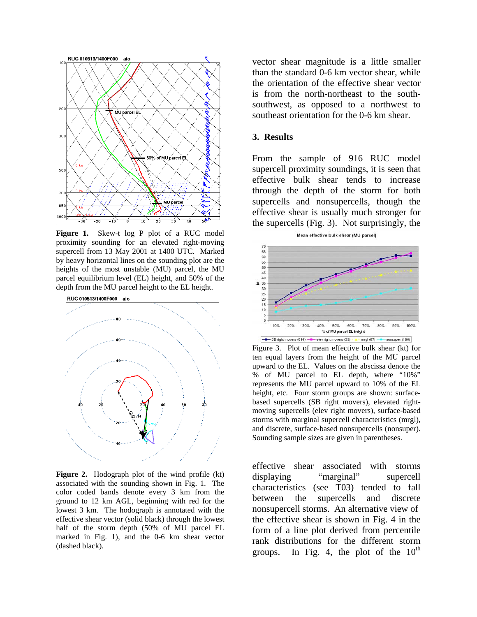

**Figure 1.** Skew-t log P plot of a RUC model proximity sounding for an elevated right-moving supercell from 13 May 2001 at 1400 UTC. Marked by heavy horizontal lines on the sounding plot are the heights of the most unstable (MU) parcel, the MU parcel equilibrium level (EL) height, and 50% of the depth from the MU parcel height to the EL height.



**Figure 2.** Hodograph plot of the wind profile (kt) associated with the sounding shown in Fig. 1. The color coded bands denote every 3 km from the ground to 12 km AGL, beginning with red for the lowest 3 km. The hodograph is annotated with the effective shear vector (solid black) through the lowest half of the storm depth (50% of MU parcel EL marked in Fig. 1), and the 0-6 km shear vector (dashed black).

vector shear magnitude is a little smaller than the standard 0-6 km vector shear, while the orientation of the effective shear vector is from the north-northeast to the southsouthwest, as opposed to a northwest to southeast orientation for the 0-6 km shear.

# **3. Results**

From the sample of 916 RUC model supercell proximity soundings, it is seen that effective bulk shear tends to increase through the depth of the storm for both supercells and nonsupercells, though the effective shear is usually much stronger for the supercells (Fig. 3). Not surprisingly, the



Figure 3. Plot of mean effective bulk shear (kt) for ten equal layers from the height of the MU parcel upward to the EL. Values on the abscissa denote the % of MU parcel to EL depth, where "10%" represents the MU parcel upward to 10% of the EL height, etc. Four storm groups are shown: surfacebased supercells (SB right movers), elevated rightmoving supercells (elev right movers), surface-based storms with marginal supercell characteristics (mrgl), and discrete, surface-based nonsupercells (nonsuper). Sounding sample sizes are given in parentheses.

effective shear associated with storms displaying "marginal" supercell characteristics (see T03) tended to fall between the supercells and discrete nonsupercell storms. An alternative view of the effective shear is shown in Fig. 4 in the form of a line plot derived from percentile rank distributions for the different storm groups. In Fig. 4, the plot of the  $10^{th}$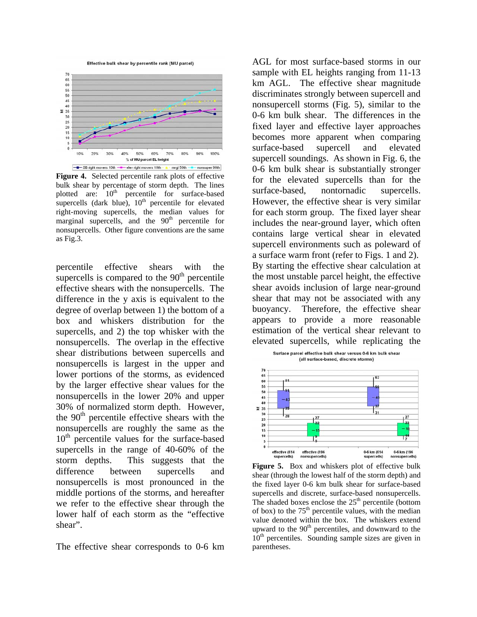



**Figure 4.** Selected percentile rank plots of effective bulk shear by percentage of storm depth. The lines plotted are:  $10<sup>th</sup>$  percentile for surface-based supercells (dark blue),  $10<sup>th</sup>$  percentile for elevated right-moving supercells, the median values for marginal supercells, and the  $90<sup>th</sup>$  percentile for nonsupercells. Other figure conventions are the same as Fig.3.

percentile effective shears with the supercells is compared to the  $90<sup>th</sup>$  percentile effective shears with the nonsupercells. The difference in the y axis is equivalent to the degree of overlap between 1) the bottom of a box and whiskers distribution for the supercells, and 2) the top whisker with the nonsupercells. The overlap in the effective shear distributions between supercells and nonsupercells is largest in the upper and lower portions of the storms, as evidenced by the larger effective shear values for the nonsupercells in the lower 20% and upper 30% of normalized storm depth. However, the  $90<sup>th</sup>$  percentile effective shears with the nonsupercells are roughly the same as the  $10<sup>th</sup>$  percentile values for the surface-based supercells in the range of 40-60% of the storm depths. This suggests that the difference between supercells and nonsupercells is most pronounced in the middle portions of the storms, and hereafter we refer to the effective shear through the lower half of each storm as the "effective shear".

The effective shear corresponds to 0-6 km

AGL for most surface-based storms in our sample with EL heights ranging from 11-13 km AGL. The effective shear magnitude discriminates strongly between supercell and nonsupercell storms (Fig. 5), similar to the 0-6 km bulk shear. The differences in the fixed layer and effective layer approaches becomes more apparent when comparing surface-based supercell and elevated supercell soundings. As shown in Fig. 6, the 0-6 km bulk shear is substantially stronger for the elevated supercells than for the surface-based, nontornadic supercells. However, the effective shear is very similar for each storm group. The fixed layer shear includes the near-ground layer, which often contains large vertical shear in elevated supercell environments such as poleward of a surface warm front (refer to Figs. 1 and 2). By starting the effective shear calculation at the most unstable parcel height, the effective shear avoids inclusion of large near-ground shear that may not be associated with any buoyancy. Therefore, the effective shear appears to provide a more reasonable estimation of the vertical shear relevant to elevated supercells, while replicating the



**Figure 5.** Box and whiskers plot of effective bulk shear (through the lowest half of the storm depth) and the fixed layer 0-6 km bulk shear for surface-based supercells and discrete, surface-based nonsupercells. The shaded boxes enclose the  $25<sup>th</sup>$  percentile (bottom of box) to the  $75<sup>th</sup>$  percentile values, with the median value denoted within the box. The whiskers extend upward to the  $90<sup>th</sup>$  percentiles, and downward to the  $10<sup>th</sup>$  percentiles. Sounding sample sizes are given in parentheses.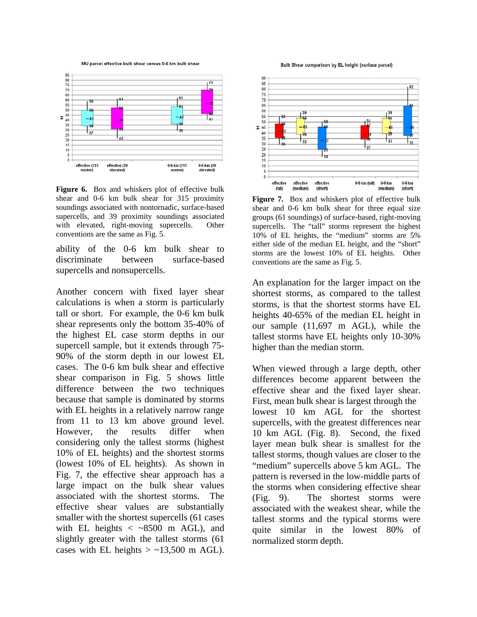MU parcel effective bulk shear versus 0-6 km bulk shear



Figure 6. Box and whiskers plot of effective bulk shear and 0-6 km bulk shear for 315 proximity soundings associated with nontornadic, surface-based supercells, and 39 proximity soundings associated with elevated, right-moving supercells. Other conventions are the same as Fig. 5.

ability of the 0-6 km bulk shear to discriminate between surface-based supercells and nonsupercells.

Another concern with fixed layer shear calculations is when a storm is particularly tall or short. For example, the 0-6 km bulk shear represents only the bottom 35-40% of the highest EL case storm depths in our supercell sample, but it extends through 75- 90% of the storm depth in our lowest EL cases. The 0-6 km bulk shear and effective shear comparison in Fig. 5 shows little difference between the two techniques because that sample is dominated by storms with EL heights in a relatively narrow range from 11 to 13 km above ground level. However, the results differ when considering only the tallest storms (highest 10% of EL heights) and the shortest storms (lowest 10% of EL heights). As shown in Fig. 7, the effective shear approach has a large impact on the bulk shear values associated with the shortest storms. The effective shear values are substantially smaller with the shortest supercells (61 cases with EL heights  $\langle \sim 8500$  m AGL), and slightly greater with the tallest storms (61 cases with EL heights  $> \sim 13,500$  m AGL).

Bulk Shear comparison by EL height (surface parcel)



Figure 7. Box and whiskers plot of effective bulk shear and 0-6 km bulk shear for three equal size groups (61 soundings) of surface-based, right-moving supercells. The "tall" storms represent the highest 10% of EL heights, the "medium" storms are 5% either side of the median EL height, and the "short" storms are the lowest 10% of EL heights. Other conventions are the same as Fig. 5.

An explanation for the larger impact on the shortest storms, as compared to the tallest storms, is that the shortest storms have EL heights 40-65% of the median EL height in our sample (11,697 m AGL), while the tallest storms have EL heights only 10-30% higher than the median storm.

When viewed through a large depth, other differences become apparent between the effective shear and the fixed layer shear. First, mean bulk shear is largest through the lowest 10 km AGL for the shortest supercells, with the greatest differences near 10 km AGL (Fig. 8). Second, the fixed layer mean bulk shear is smallest for the tallest storms, though values are closer to the "medium" supercells above 5 km AGL. The pattern is reversed in the low-middle parts of the storms when considering effective shear (Fig. 9). The shortest storms were associated with the weakest shear, while the tallest storms and the typical storms were quite similar in the lowest 80% of normalized storm depth.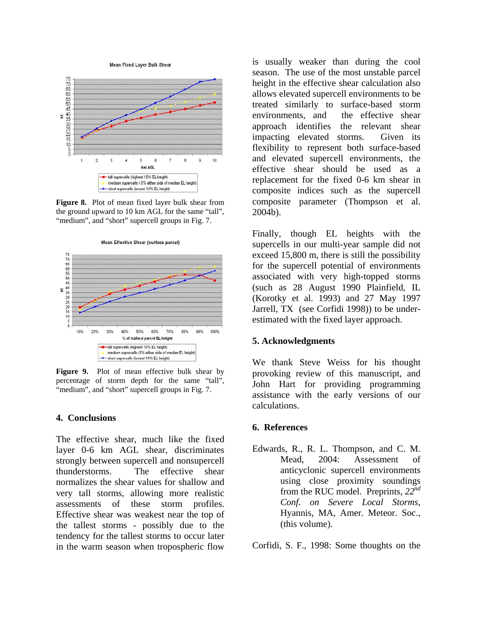



**Figure 8.** Plot of mean fixed layer bulk shear from the ground upward to 10 km AGL for the same "tall", "medium", and "short" supercell groups in Fig. 7.



Figure 9. Plot of mean effective bulk shear by percentage of storm depth for the same "tall", "medium", and "short" supercell groups in Fig. 7.

# **4. Conclusions**

The effective shear, much like the fixed layer 0-6 km AGL shear, discriminates strongly between supercell and nonsupercell thunderstorms. The effective shear normalizes the shear values for shallow and very tall storms, allowing more realistic assessments of these storm profiles. Effective shear was weakest near the top of the tallest storms - possibly due to the tendency for the tallest storms to occur later in the warm season when tropospheric flow

is usually weaker than during the cool season. The use of the most unstable parcel height in the effective shear calculation also allows elevated supercell environments to be treated similarly to surface-based storm environments, and the effective shear approach identifies the relevant shear impacting elevated storms. Given its flexibility to represent both surface-based and elevated supercell environments, the effective shear should be used as a replacement for the fixed 0-6 km shear in composite indices such as the supercell composite parameter (Thompson et al. 2004b).

Finally, though EL heights with the supercells in our multi-year sample did not exceed 15,800 m, there is still the possibility for the supercell potential of environments associated with very high-topped storms (such as 28 August 1990 Plainfield, IL (Korotky et al. 1993) and 27 May 1997 Jarrell, TX (see Corfidi 1998)) to be underestimated with the fixed layer approach.

# **5. Acknowledgments**

We thank Steve Weiss for his thought provoking review of this manuscript, and John Hart for providing programming assistance with the early versions of our calculations.

# **6. References**

Edwards, R., R. L. Thompson, and C. M. Mead, 2004: Assessment of anticyclonic supercell environments using close proximity soundings from the RUC model. Preprints, *22nd Conf. on Severe Local Storms*, Hyannis, MA, Amer. Meteor. Soc., (this volume).

Corfidi, S. F., 1998: Some thoughts on the